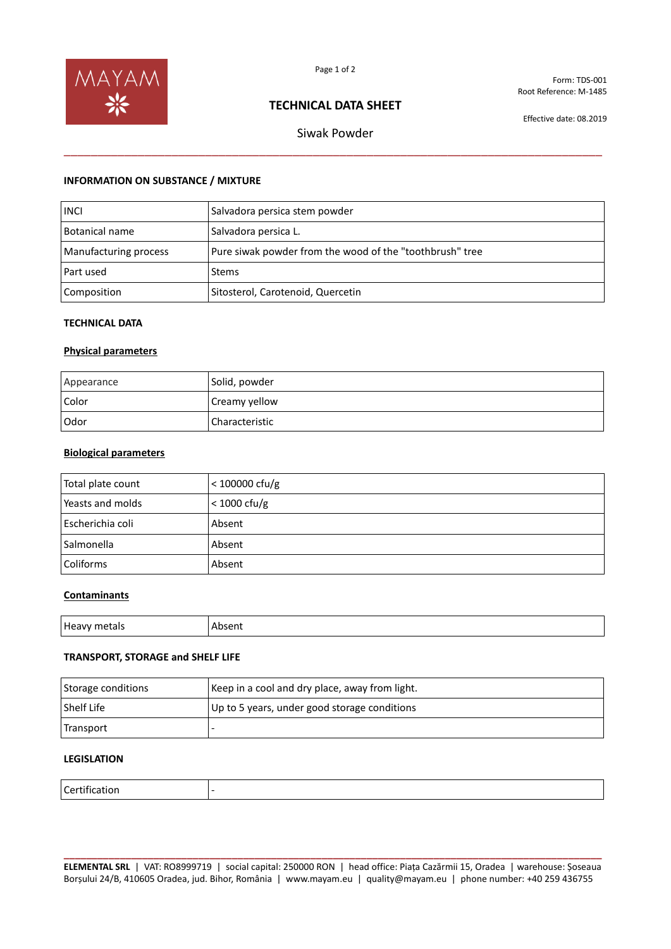

Form: TDS-001 Root Reference: M-1485

# **TECHNICAL DATA SHEET**

Effective date: 08.2019

Siwak Powder \_\_\_\_\_\_\_\_\_\_\_\_\_\_\_\_\_\_\_\_\_\_\_\_\_\_\_\_\_\_\_\_\_\_\_\_\_\_\_\_\_\_\_\_\_\_\_\_\_\_\_\_\_\_\_\_\_\_\_\_\_\_\_\_\_\_\_\_\_\_\_\_\_\_\_\_\_\_\_\_

### **INFORMATION ON SUBSTANCE / MIXTURE**

| <b>INCI</b>           | Salvadora persica stem powder                            |
|-----------------------|----------------------------------------------------------|
| <b>Botanical name</b> | Salvadora persica L.                                     |
| Manufacturing process | Pure siwak powder from the wood of the "toothbrush" tree |
| Part used             | <b>Stems</b>                                             |
| Composition           | Sitosterol, Carotenoid, Quercetin                        |

#### **TECHNICAL DATA**

### **Physical parameters**

| Appearance | Solid, powder  |
|------------|----------------|
| Color      | Creamy yellow  |
| Odor       | Characteristic |

### **Biological parameters**

| Total plate count | $<$ 100000 cfu/g |
|-------------------|------------------|
| Yeasts and molds  | $<$ 1000 cfu/g   |
| Escherichia coli  | Absent           |
| Salmonella        | Absent           |
| Coliforms         | Absent           |

### **Contaminants**

| нρ<br>''''<br><br>1.71<br>. | . |
|-----------------------------|---|
|                             |   |
|                             |   |

### **TRANSPORT, STORAGE and SHELF LIFE**

| Storage conditions | Keep in a cool and dry place, away from light. |
|--------------------|------------------------------------------------|
| Shelf Life         | Up to 5 years, under good storage conditions   |
| Transport          |                                                |

# **LEGISLATION**